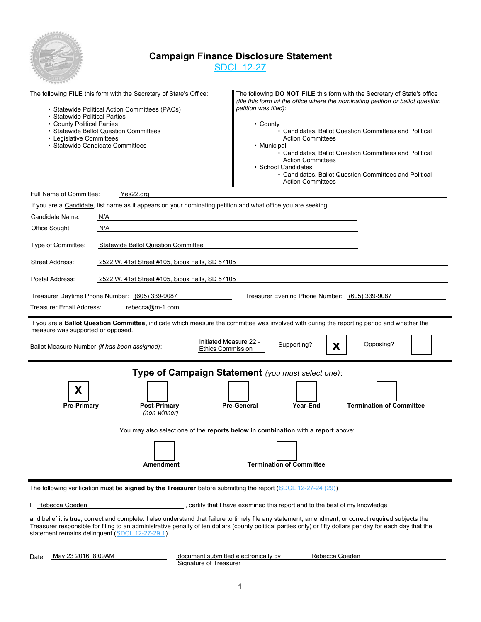

### **Campaign Finance Disclosure Statement**

SDCL 12-27

| • Statewide Political Parties<br>• County Political Parties<br>• Legislative Committees | The following <b>FILE</b> this form with the Secretary of State's Office:<br>• Statewide Political Action Committees (PACs)<br>· Statewide Ballot Question Committees<br>• Statewide Candidate Committees | The following DO NOT FILE this form with the Secretary of State's office<br>(file this form ini the office where the nominating petition or ballot question<br>petition was filed):<br>• County<br>○ Candidates, Ballot Question Committees and Political<br><b>Action Committees</b><br>• Municipal<br>• Candidates, Ballot Question Committees and Political<br><b>Action Committees</b><br>• School Candidates<br>• Candidates, Ballot Question Committees and Political<br><b>Action Committees</b> |  |  |  |
|-----------------------------------------------------------------------------------------|-----------------------------------------------------------------------------------------------------------------------------------------------------------------------------------------------------------|---------------------------------------------------------------------------------------------------------------------------------------------------------------------------------------------------------------------------------------------------------------------------------------------------------------------------------------------------------------------------------------------------------------------------------------------------------------------------------------------------------|--|--|--|
| Full Name of Committee:                                                                 | Yes22.org                                                                                                                                                                                                 |                                                                                                                                                                                                                                                                                                                                                                                                                                                                                                         |  |  |  |
|                                                                                         | If you are a Candidate, list name as it appears on your nominating petition and what office you are seeking.                                                                                              |                                                                                                                                                                                                                                                                                                                                                                                                                                                                                                         |  |  |  |
| Candidate Name:                                                                         | N/A                                                                                                                                                                                                       |                                                                                                                                                                                                                                                                                                                                                                                                                                                                                                         |  |  |  |
| Office Sought:                                                                          | N/A                                                                                                                                                                                                       |                                                                                                                                                                                                                                                                                                                                                                                                                                                                                                         |  |  |  |
| Type of Committee:                                                                      | <b>Statewide Ballot Question Committee</b>                                                                                                                                                                |                                                                                                                                                                                                                                                                                                                                                                                                                                                                                                         |  |  |  |
| Street Address:                                                                         | 2522 W. 41st Street #105, Sioux Falls, SD 57105                                                                                                                                                           |                                                                                                                                                                                                                                                                                                                                                                                                                                                                                                         |  |  |  |
| Postal Address:                                                                         | 2522 W. 41st Street #105, Sioux Falls, SD 57105                                                                                                                                                           |                                                                                                                                                                                                                                                                                                                                                                                                                                                                                                         |  |  |  |
|                                                                                         | Treasurer Daytime Phone Number: (605) 339-9087                                                                                                                                                            | Treasurer Evening Phone Number: (605) 339-9087                                                                                                                                                                                                                                                                                                                                                                                                                                                          |  |  |  |
| <b>Treasurer Email Address:</b>                                                         | rebecca@m-1.com                                                                                                                                                                                           |                                                                                                                                                                                                                                                                                                                                                                                                                                                                                                         |  |  |  |
| measure was supported or opposed.                                                       | Ballot Measure Number (if has been assigned):<br><b>Ethics Commission</b>                                                                                                                                 | If you are a Ballot Question Committee, indicate which measure the committee was involved with during the reporting period and whether the<br>Initiated Measure 22 -<br>Opposing?<br>Supporting?<br>X                                                                                                                                                                                                                                                                                                   |  |  |  |
| X<br><b>Pre-Primary</b>                                                                 | Post-Primary<br>(non-winner)<br><b>Amendment</b>                                                                                                                                                          | Type of Campaign Statement (you must select one):<br><b>Termination of Committee</b><br>Year-End<br><b>Pre-General</b><br>You may also select one of the reports below in combination with a report above:<br><b>Termination of Committee</b>                                                                                                                                                                                                                                                           |  |  |  |
|                                                                                         | The following verification must be signed by the Treasurer before submitting the report (SDCL 12-27-24 (29))                                                                                              |                                                                                                                                                                                                                                                                                                                                                                                                                                                                                                         |  |  |  |
| Rebecca Goeden                                                                          | , certify that I have examined this report and to the best of my knowledge                                                                                                                                |                                                                                                                                                                                                                                                                                                                                                                                                                                                                                                         |  |  |  |

and belief it is true, correct and complete. I also understand that failure to timely file any statement, amendment, or correct required subjects the Treasurer responsible for filing to an administrative penalty of ten dollars (county political parties only) or fifty dollars per day for each day that the statement remains delinquent (SDCL 12-27-29.1).

Date: May 23 2016 8:09AM

Signature of Treasurer document submitted electronically by Rebecca Goeden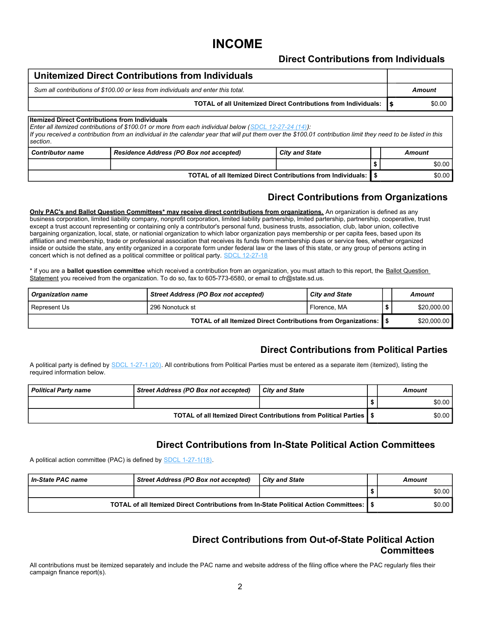# **INCOME**

#### **Direct Contributions from Individuals**

#### **Unitemized Direct Contributions from Individuals** *Sum all contributions of \$100.00 or less from individuals and enter this total. Amount* **TOTAL of all Unitemized Direct Contributions from Individuals:**  $\int$  **\$0.000 \$0.00** *Contributor name Residence Address (PO Box not accepted) City and State Amount* **Itemized Direct Contributions from Individuals**  *Enter all itemized contributions of \$100.01 or more from each individual below (SDCL 12-27-24 (14)): If you received a contribution from an individual in the calendar year that will put them over the \$100.01 contribution limit they need to be listed in this section*. **\$** \$0.00 **TOTAL of all Itemized Direct Contributions from Individuals: \$** \$0.00

### **Direct Contributions from Organizations**

**Only PAC's and Ballot Question Committees\* may receive direct contributions from organizations.** An organization is defined as any business corporation, limited liability company, nonprofit corporation, limited liability partnership, lmited partership, partnership, cooperative, trust except a trust account representing or containing only a contributor's personal fund, business trusts, association, club, labor union, collective bargaining organization, local, state, or nationial organization to which labor organization pays membership or per capita fees, based upon its affiliation and membership, trade or professional association that receives its funds from membership dues or service fees, whether organized inside or outside the state, any entity organized in a corporate form under federal law or the laws of this state, or any group of persons acting in concert which is not defined as a political committee or political party. SDCL 12-27-18

\* if you are a **ballot question committee** which received a contribution from an organization, you must attach to this report, the Ballot Question Statement you received from the organization. To do so, fax to 605-773-6580, or email to cfr@state.sd.us.

| <b>Organization name</b> | Street Address (PO Box not accepted)                                | <b>City and State</b> |  | Amount      |
|--------------------------|---------------------------------------------------------------------|-----------------------|--|-------------|
| Represent Us             | 296 Nonotuck st                                                     | Florence, MA          |  | \$20,000.00 |
|                          | TOTAL of all Itemized Direct Contributions from Organizations:   \$ | \$20,000.00           |  |             |

#### **Direct Contributions from Political Parties**

A political party is defined by SDCL 1-27-1 (20). All contributions from Political Parties must be entered as a separate item (itemized), listing the required information below.

| <b>Political Party name</b> | <b>Street Address (PO Box not accepted)</b> | <b>City and State</b>                                                  | Amount |
|-----------------------------|---------------------------------------------|------------------------------------------------------------------------|--------|
|                             |                                             |                                                                        | \$0.00 |
|                             |                                             | TOTAL of all Itemized Direct Contributions from Political Parties 1 \$ | \$0.00 |

#### **Direct Contributions from In-State Political Action Committees**

A political action committee (PAC) is defined by SDCL 1-27-1(18).

| l In-State PAC name | Street Address (PO Box not accepted)                                                    | <b>City and State</b> | Amount |
|---------------------|-----------------------------------------------------------------------------------------|-----------------------|--------|
|                     |                                                                                         |                       | \$0.00 |
|                     | TOTAL of all Itemized Direct Contributions from In-State Political Action Committees: 1 |                       | \$0.00 |

#### **Direct Contributions from Out-of-State Political Action Committees**

All contributions must be itemized separately and include the PAC name and website address of the filing office where the PAC regularly files their campaign finance report(s).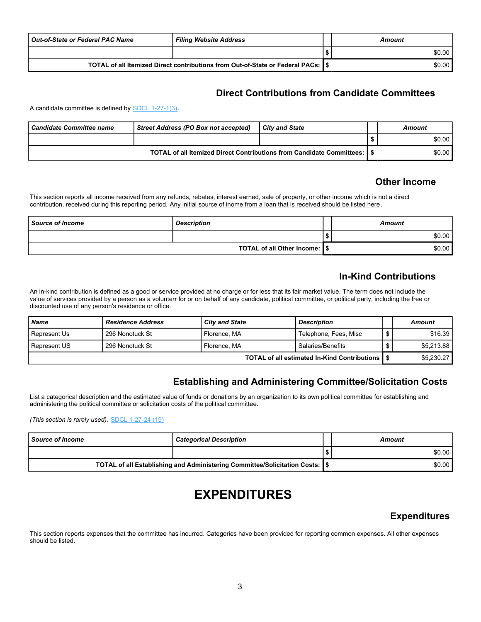| <b>Out-of-State or Federal PAC Name</b>                                           | <b>Filing Website Address</b> | Amount |
|-----------------------------------------------------------------------------------|-------------------------------|--------|
|                                                                                   |                               | \$0.00 |
| TOTAL of all Itemized Direct contributions from Out-of-State or Federal PACs: 1\$ |                               | \$0.00 |

#### **Direct Contributions from Candidate Committees**

A candidate committee is defined by SDCL 1-27-1(3).

| Candidate Committee name | Street Address (PO Box not accepted)                                    | City and State | Amount |
|--------------------------|-------------------------------------------------------------------------|----------------|--------|
|                          |                                                                         |                | \$0.00 |
|                          | TOTAL of all Itemized Direct Contributions from Candidate Committees: I |                | \$0.00 |

#### **Other Income**

This section reports all income received from any refunds, rebates, interest earned, sale of property, or other income which is not a direct contribution, received during this reporting period. Any initial source of inome from a loan that is received should be listed here.

| <b>Source of Income</b>        | <b>Description</b> |  | Amount |
|--------------------------------|--------------------|--|--------|
|                                |                    |  | \$0.00 |
| TOTAL of all Other Income: 1\$ |                    |  | \$0.00 |

### **In-Kind Contributions**

An in-kind contribution is defined as a good or service provided at no charge or for less that its fair market value. The term does not include the value of services provided by a person as a volunterr for or on behalf of any candidate, political committee, or political party, including the free or discounted use of any person's residence or office.

| <b>Name</b>  | <b>Residence Address</b>                     | <b>City and State</b> | <b>Description</b>    |  | Amount     |
|--------------|----------------------------------------------|-----------------------|-----------------------|--|------------|
| Represent Us | 296 Nonotuck St                              | Florence, MA          | Telephone, Fees, Misc |  | \$16.39    |
| Represent US | 296 Nonotuck St                              | Florence, MA          | Salaries/Benefits     |  | \$5.213.88 |
|              | TOTAL of all estimated In-Kind Contributions | \$5,230.27            |                       |  |            |

#### **Establishing and Administering Committee/Solicitation Costs**

List a categorical description and the estimated value of funds or donations by an organization to its own political committee for establishing and administering the political committee or solicitation costs of the political committee.

*(This section is rarely used)*. SDCL 1-27-24 (19)

| <b>Source of Income</b> | <b>Categorical Description</b>                                                 | Amount |
|-------------------------|--------------------------------------------------------------------------------|--------|
|                         |                                                                                | \$0.00 |
|                         | TOTAL of all Establishing and Administering Committee/Solicitation Costs:   \$ | \$0.00 |

# **EXPENDITURES**

#### **Expenditures**

This section reports expenses that the committee has incurred. Categories have been provided for reporting common expenses. All other expenses should be listed.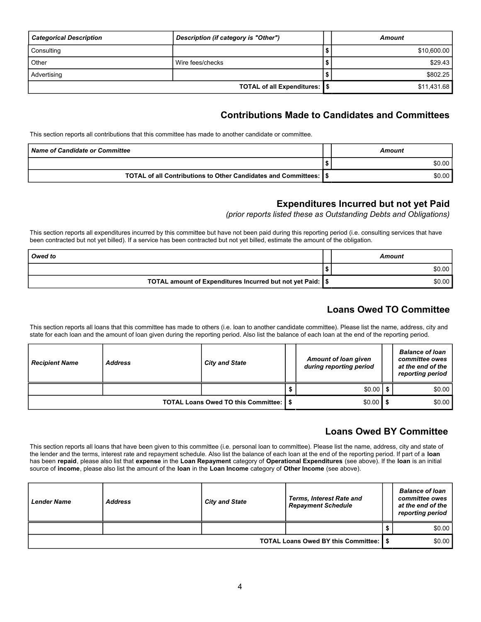| <b>Categorical Description</b> | Description (if category is "Other") | Amount      |
|--------------------------------|--------------------------------------|-------------|
| Consulting                     |                                      | \$10,600.00 |
| Other                          | Wire fees/checks                     | \$29.43     |
| Advertising                    |                                      | \$802.25    |
|                                | TOTAL of all Expenditures: \\]       | \$11,431.68 |

### **Contributions Made to Candidates and Committees**

This section reports all contributions that this committee has made to another candidate or committee.

| <b>Name of Candidate or Committee</b>                              | Amount |
|--------------------------------------------------------------------|--------|
|                                                                    | \$0.00 |
| TOTAL of all Contributions to Other Candidates and Committees: 1\$ | \$0.00 |

### **Expenditures Incurred but not yet Paid**

*(prior reports listed these as Outstanding Debts and Obligations)*

This section reports all expenditures incurred by this committee but have not been paid during this reporting period (i.e. consulting services that have been contracted but not yet billed). If a service has been contracted but not yet billed, estimate the amount of the obligation.

| Owed to                                                      | Amount |
|--------------------------------------------------------------|--------|
|                                                              | \$0.00 |
| TOTAL amount of Expenditures Incurred but not yet Paid:   \$ | \$0.00 |

### **Loans Owed TO Committee**

This section reports all loans that this committee has made to others (i.e. loan to another candidate committee). Please list the name, address, city and state for each loan and the amount of loan given during the reporting period. Also list the balance of each loan at the end of the reporting period.

| <b>Recipient Name</b> | <b>Address</b> | <b>City and State</b>                    | <b>Amount of loan given</b><br>during reporting period | <b>Balance of loan</b><br>committee owes<br>at the end of the<br>reporting period |
|-----------------------|----------------|------------------------------------------|--------------------------------------------------------|-----------------------------------------------------------------------------------|
|                       |                |                                          | $$0.00$   \$                                           | \$0.00                                                                            |
|                       |                | TOTAL Loans Owed TO this Committee: 1 \$ | $$0.00$   \$                                           | \$0.00                                                                            |

## **Loans Owed BY Committee**

This section reports all loans that have been given to this committee (i.e. personal loan to committee). Please list the name, address, city and state of the lender and the terms, interest rate and repayment schedule. Also list the balance of each loan at the end of the reporting period. If part of a **loan** has been **repaid**, please also list that **expense** in the **Loan Repayment** category of **Operational Expenditures** (see above). If the **loan** is an initial source of **income**, please also list the amount of the **loan** in the **Loan Income** category of **Other Income** (see above).

| <b>Lender Name</b>                           | <b>Address</b> | <b>City and State</b> | <b>Terms, Interest Rate and</b><br><b>Repayment Schedule</b> |  | <b>Balance of loan</b><br>committee owes<br>at the end of the<br>reporting period |
|----------------------------------------------|----------------|-----------------------|--------------------------------------------------------------|--|-----------------------------------------------------------------------------------|
|                                              |                |                       |                                                              |  | \$0.00                                                                            |
| <b>TOTAL Loans Owed BY this Committee:  </b> |                |                       |                                                              |  | \$0.00                                                                            |